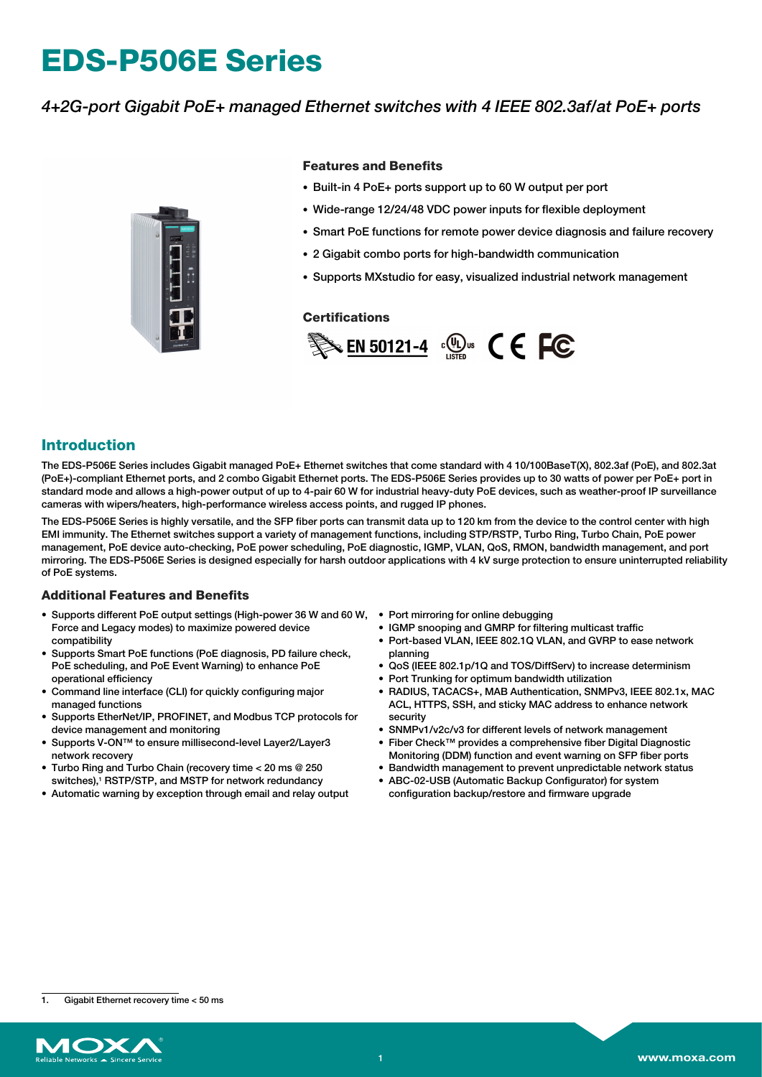# **EDS-P506E Series**

## *4+2G-port Gigabit PoE+ managed Ethernet switches with 4 IEEE 802.3af/at PoE+ ports*



#### **Features and Benefits**

- Built-in 4 PoE+ ports support up to 60 W output per port
- Wide-range 12/24/48 VDC power inputs for flexible deployment
- Smart PoE functions for remote power device diagnosis and failure recovery
- 2 Gigabit combo ports for high-bandwidth communication
- Supports MXstudio for easy, visualized industrial network management

#### **Certifications**



## **Introduction**

The EDS-P506E Series includes Gigabit managed PoE+ Ethernet switches that come standard with 4 10/100BaseT(X), 802.3af (PoE), and 802.3at (PoE+)-compliant Ethernet ports, and 2 combo Gigabit Ethernet ports. The EDS-P506E Series provides up to 30 watts of power per PoE+ port in standard mode and allows a high-power output of up to 4-pair 60 W for industrial heavy-duty PoE devices, such as weather-proof IP surveillance cameras with wipers/heaters, high-performance wireless access points, and rugged IP phones.

The EDS-P506E Series is highly versatile, and the SFP fiber ports can transmit data up to 120 km from the device to the control center with high EMI immunity. The Ethernet switches support a variety of management functions, including STP/RSTP, Turbo Ring, Turbo Chain, PoE power management, PoE device auto-checking, PoE power scheduling, PoE diagnostic, IGMP, VLAN, QoS, RMON, bandwidth management, and port mirroring. The EDS-P506E Series is designed especially for harsh outdoor applications with 4 kV surge protection to ensure uninterrupted reliability of PoE systems.

#### **Additional Features and Benefits**

- Supports different PoE output settings (High-power 36 W and 60 W, Port mirroring for online debugging Force and Legacy modes) to maximize powered device compatibility
- Supports Smart PoE functions (PoE diagnosis, PD failure check, PoE scheduling, and PoE Event Warning) to enhance PoE operational efficiency
- Command line interface (CLI) for quickly configuring major managed functions
- Supports EtherNet/IP, PROFINET, and Modbus TCP protocols for device management and monitoring
- Supports V-ON™ to ensure millisecond-level Layer2/Layer3 network recovery
- Turbo Ring and Turbo Chain (recovery time < 20 ms @ 250 switches),<sup>1</sup> RSTP/STP, and MSTP for network redundancy
- Automatic warning by exception through email and relay output
- 
- IGMP snooping and GMRP for filtering multicast traffic
- Port-based VLAN, IEEE 802.1Q VLAN, and GVRP to ease network planning
- QoS (IEEE 802.1p/1Q and TOS/DiffServ) to increase determinism
- Port Trunking for optimum bandwidth utilization
- RADIUS, TACACS+, MAB Authentication, SNMPv3, IEEE 802.1x, MAC ACL, HTTPS, SSH, and sticky MAC address to enhance network security
- SNMPv1/v2c/v3 for different levels of network management
- Fiber Check™ provides a comprehensive fiber Digital Diagnostic Monitoring (DDM) function and event warning on SFP fiber ports
- Bandwidth management to prevent unpredictable network status
- ABC-02-USB (Automatic Backup Configurator) for system configuration backup/restore and firmware upgrade

<sup>1.</sup> Gigabit Ethernet recovery time < 50 ms

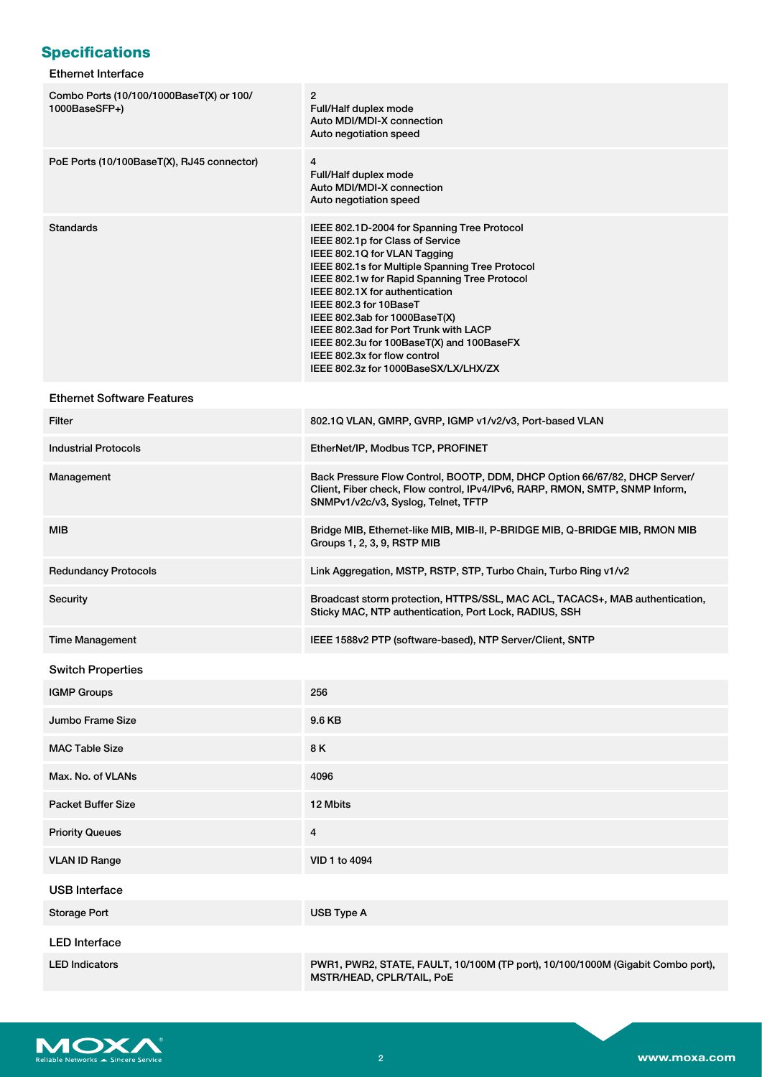# **Specifications**

## Ethernet Interface

| Combo Ports (10/100/1000BaseT(X) or 100/<br>1000BaseSFP+) | $\overline{2}$<br>Full/Half duplex mode<br>Auto MDI/MDI-X connection<br>Auto negotiation speed                                                                                                                                                                                                                                                                                                                                                                                |
|-----------------------------------------------------------|-------------------------------------------------------------------------------------------------------------------------------------------------------------------------------------------------------------------------------------------------------------------------------------------------------------------------------------------------------------------------------------------------------------------------------------------------------------------------------|
| PoE Ports (10/100BaseT(X), RJ45 connector)                | 4<br>Full/Half duplex mode<br>Auto MDI/MDI-X connection<br>Auto negotiation speed                                                                                                                                                                                                                                                                                                                                                                                             |
| <b>Standards</b>                                          | IEEE 802.1D-2004 for Spanning Tree Protocol<br>IEEE 802.1p for Class of Service<br>IEEE 802.1Q for VLAN Tagging<br>IEEE 802.1s for Multiple Spanning Tree Protocol<br>IEEE 802.1w for Rapid Spanning Tree Protocol<br>IEEE 802.1X for authentication<br>IEEE 802.3 for 10BaseT<br>IEEE 802.3ab for 1000BaseT(X)<br>IEEE 802.3ad for Port Trunk with LACP<br>IEEE 802.3u for 100BaseT(X) and 100BaseFX<br>IEEE 802.3x for flow control<br>IEEE 802.3z for 1000BaseSX/LX/LHX/ZX |
| <b>Ethernet Software Features</b>                         |                                                                                                                                                                                                                                                                                                                                                                                                                                                                               |
| Filter                                                    | 802.1Q VLAN, GMRP, GVRP, IGMP v1/v2/v3, Port-based VLAN                                                                                                                                                                                                                                                                                                                                                                                                                       |
| <b>Industrial Protocols</b>                               | EtherNet/IP, Modbus TCP, PROFINET                                                                                                                                                                                                                                                                                                                                                                                                                                             |
| Management                                                | Back Pressure Flow Control, BOOTP, DDM, DHCP Option 66/67/82, DHCP Server/<br>Client, Fiber check, Flow control, IPv4/IPv6, RARP, RMON, SMTP, SNMP Inform,<br>SNMPv1/v2c/v3, Syslog, Telnet, TFTP                                                                                                                                                                                                                                                                             |
| MIB                                                       | Bridge MIB, Ethernet-like MIB, MIB-II, P-BRIDGE MIB, Q-BRIDGE MIB, RMON MIB<br>Groups 1, 2, 3, 9, RSTP MIB                                                                                                                                                                                                                                                                                                                                                                    |
| <b>Redundancy Protocols</b>                               | Link Aggregation, MSTP, RSTP, STP, Turbo Chain, Turbo Ring v1/v2                                                                                                                                                                                                                                                                                                                                                                                                              |
| Security                                                  | Broadcast storm protection, HTTPS/SSL, MAC ACL, TACACS+, MAB authentication,<br>Sticky MAC, NTP authentication, Port Lock, RADIUS, SSH                                                                                                                                                                                                                                                                                                                                        |
| <b>Time Management</b>                                    | IEEE 1588v2 PTP (software-based), NTP Server/Client, SNTP                                                                                                                                                                                                                                                                                                                                                                                                                     |
| <b>Switch Properties</b>                                  |                                                                                                                                                                                                                                                                                                                                                                                                                                                                               |
| <b>IGMP Groups</b>                                        | 256                                                                                                                                                                                                                                                                                                                                                                                                                                                                           |
| Jumbo Frame Size                                          | 9.6 KB                                                                                                                                                                                                                                                                                                                                                                                                                                                                        |
| <b>MAC Table Size</b>                                     | 8 K                                                                                                                                                                                                                                                                                                                                                                                                                                                                           |
| Max. No. of VLANs                                         | 4096                                                                                                                                                                                                                                                                                                                                                                                                                                                                          |
| <b>Packet Buffer Size</b>                                 | 12 Mbits                                                                                                                                                                                                                                                                                                                                                                                                                                                                      |
| <b>Priority Queues</b>                                    | 4                                                                                                                                                                                                                                                                                                                                                                                                                                                                             |
| <b>VLAN ID Range</b>                                      | VID 1 to 4094                                                                                                                                                                                                                                                                                                                                                                                                                                                                 |
| <b>USB Interface</b>                                      |                                                                                                                                                                                                                                                                                                                                                                                                                                                                               |
| <b>Storage Port</b>                                       | USB Type A                                                                                                                                                                                                                                                                                                                                                                                                                                                                    |
| <b>LED</b> Interface                                      |                                                                                                                                                                                                                                                                                                                                                                                                                                                                               |
| <b>LED Indicators</b>                                     | PWR1, PWR2, STATE, FAULT, 10/100M (TP port), 10/100/1000M (Gigabit Combo port),<br>MSTR/HEAD, CPLR/TAIL, PoE                                                                                                                                                                                                                                                                                                                                                                  |

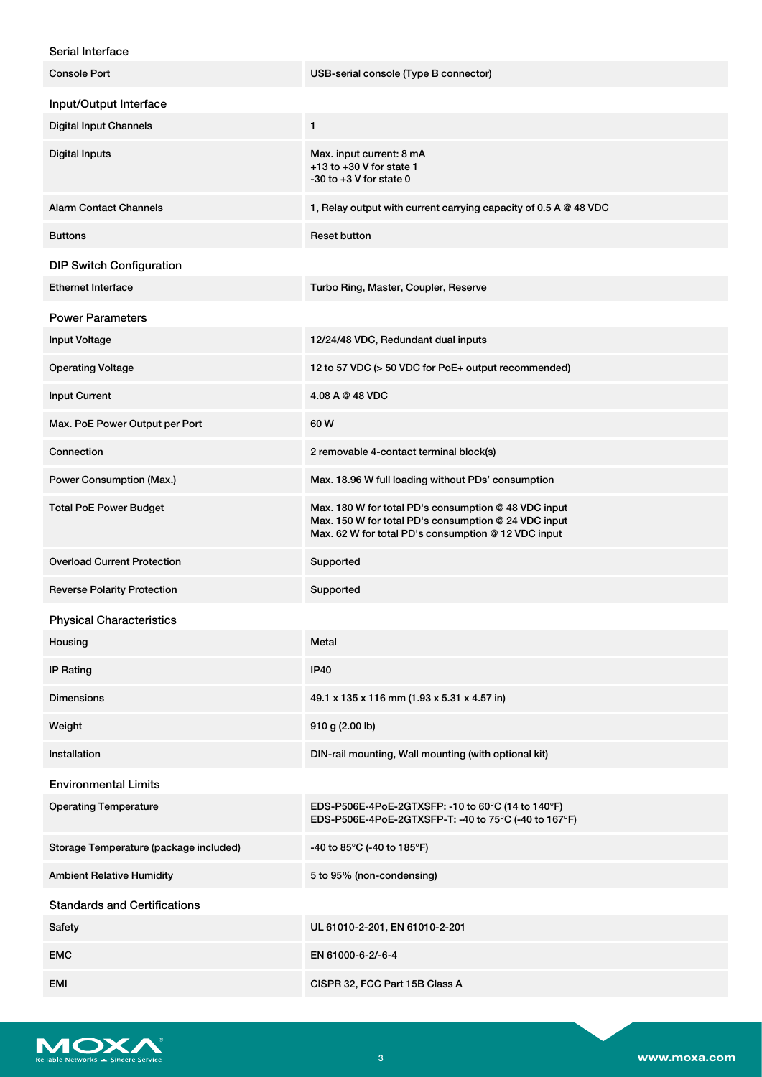## Serial Interface

| <b>Console Port</b>                    | USB-serial console (Type B connector)                                                                                                                               |
|----------------------------------------|---------------------------------------------------------------------------------------------------------------------------------------------------------------------|
| Input/Output Interface                 |                                                                                                                                                                     |
| <b>Digital Input Channels</b>          | 1                                                                                                                                                                   |
| <b>Digital Inputs</b>                  | Max. input current: 8 mA<br>$+13$ to $+30$ V for state 1<br>$-30$ to $+3$ V for state 0                                                                             |
| <b>Alarm Contact Channels</b>          | 1, Relay output with current carrying capacity of 0.5 A @ 48 VDC                                                                                                    |
| <b>Buttons</b>                         | <b>Reset button</b>                                                                                                                                                 |
| <b>DIP Switch Configuration</b>        |                                                                                                                                                                     |
| <b>Ethernet Interface</b>              | Turbo Ring, Master, Coupler, Reserve                                                                                                                                |
| <b>Power Parameters</b>                |                                                                                                                                                                     |
| <b>Input Voltage</b>                   | 12/24/48 VDC, Redundant dual inputs                                                                                                                                 |
| <b>Operating Voltage</b>               | 12 to 57 VDC (> 50 VDC for PoE+ output recommended)                                                                                                                 |
| <b>Input Current</b>                   | 4.08 A @ 48 VDC                                                                                                                                                     |
| Max. PoE Power Output per Port         | 60 W                                                                                                                                                                |
| Connection                             | 2 removable 4-contact terminal block(s)                                                                                                                             |
| Power Consumption (Max.)               | Max. 18.96 W full loading without PDs' consumption                                                                                                                  |
| <b>Total PoE Power Budget</b>          | Max. 180 W for total PD's consumption @ 48 VDC input<br>Max. 150 W for total PD's consumption @ 24 VDC input<br>Max. 62 W for total PD's consumption @ 12 VDC input |
| <b>Overload Current Protection</b>     | Supported                                                                                                                                                           |
| <b>Reverse Polarity Protection</b>     | Supported                                                                                                                                                           |
| <b>Physical Characteristics</b>        |                                                                                                                                                                     |
| Housing                                | Metal                                                                                                                                                               |
| IP Rating                              | <b>IP40</b>                                                                                                                                                         |
| <b>Dimensions</b>                      | 49.1 x 135 x 116 mm (1.93 x 5.31 x 4.57 in)                                                                                                                         |
| Weight                                 | 910 g (2.00 lb)                                                                                                                                                     |
| Installation                           | DIN-rail mounting, Wall mounting (with optional kit)                                                                                                                |
| <b>Environmental Limits</b>            |                                                                                                                                                                     |
| <b>Operating Temperature</b>           | EDS-P506E-4PoE-2GTXSFP: -10 to 60°C (14 to 140°F)<br>EDS-P506E-4PoE-2GTXSFP-T: -40 to 75°C (-40 to 167°F)                                                           |
| Storage Temperature (package included) | -40 to 85°C (-40 to 185°F)                                                                                                                                          |
| <b>Ambient Relative Humidity</b>       | 5 to 95% (non-condensing)                                                                                                                                           |
| <b>Standards and Certifications</b>    |                                                                                                                                                                     |
| Safety                                 | UL 61010-2-201, EN 61010-2-201                                                                                                                                      |
| <b>EMC</b>                             | EN 61000-6-2/-6-4                                                                                                                                                   |
| EMI                                    | CISPR 32, FCC Part 15B Class A                                                                                                                                      |

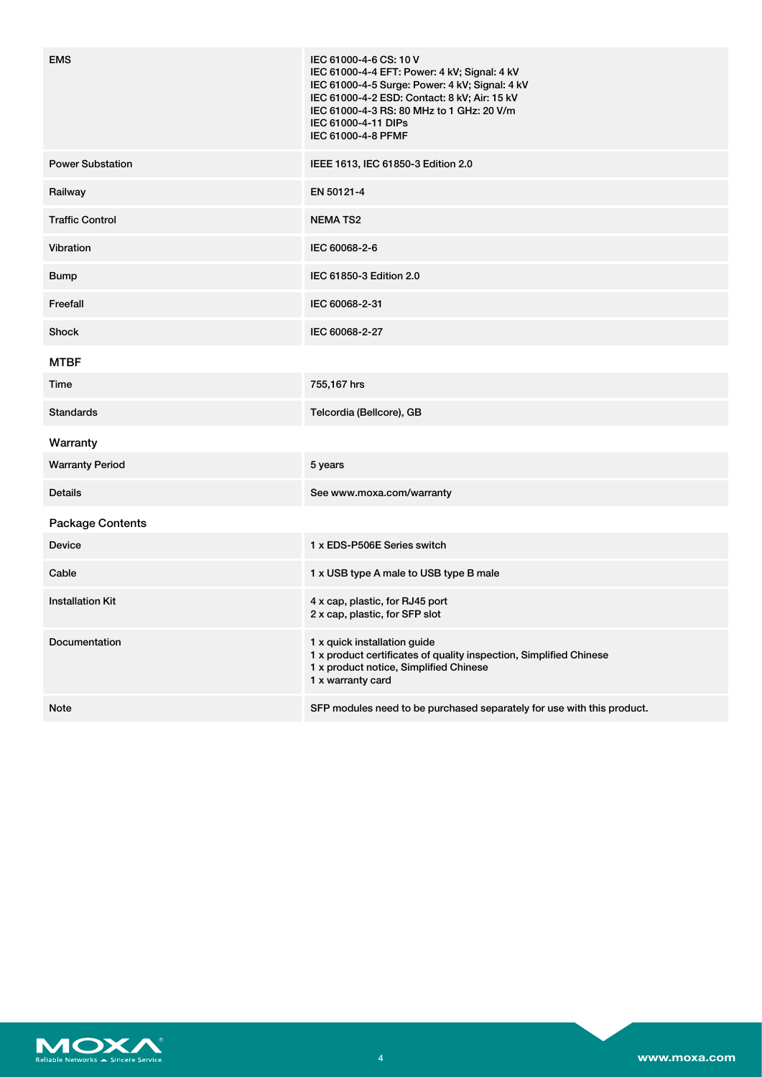| <b>EMS</b>              | IEC 61000-4-6 CS: 10 V<br>IEC 61000-4-4 EFT: Power: 4 kV; Signal: 4 kV<br>IEC 61000-4-5 Surge: Power: 4 kV; Signal: 4 kV<br>IEC 61000-4-2 ESD: Contact: 8 kV; Air: 15 kV<br>IEC 61000-4-3 RS: 80 MHz to 1 GHz: 20 V/m<br>IEC 61000-4-11 DIPs<br>IEC 61000-4-8 PFMF |
|-------------------------|--------------------------------------------------------------------------------------------------------------------------------------------------------------------------------------------------------------------------------------------------------------------|
| <b>Power Substation</b> | IEEE 1613, IEC 61850-3 Edition 2.0                                                                                                                                                                                                                                 |
| Railway                 | EN 50121-4                                                                                                                                                                                                                                                         |
| <b>Traffic Control</b>  | <b>NEMATS2</b>                                                                                                                                                                                                                                                     |
| Vibration               | IEC 60068-2-6                                                                                                                                                                                                                                                      |
| <b>Bump</b>             | IEC 61850-3 Edition 2.0                                                                                                                                                                                                                                            |
| Freefall                | IEC 60068-2-31                                                                                                                                                                                                                                                     |
| Shock                   | IEC 60068-2-27                                                                                                                                                                                                                                                     |
| <b>MTBF</b>             |                                                                                                                                                                                                                                                                    |
| Time                    | 755,167 hrs                                                                                                                                                                                                                                                        |
| <b>Standards</b>        | Telcordia (Bellcore), GB                                                                                                                                                                                                                                           |
| Warranty                |                                                                                                                                                                                                                                                                    |
| <b>Warranty Period</b>  | 5 years                                                                                                                                                                                                                                                            |
| <b>Details</b>          | See www.moxa.com/warranty                                                                                                                                                                                                                                          |
| <b>Package Contents</b> |                                                                                                                                                                                                                                                                    |
| Device                  | 1 x EDS-P506E Series switch                                                                                                                                                                                                                                        |
| Cable                   | 1 x USB type A male to USB type B male                                                                                                                                                                                                                             |
| <b>Installation Kit</b> | 4 x cap, plastic, for RJ45 port<br>2 x cap, plastic, for SFP slot                                                                                                                                                                                                  |
| <b>Documentation</b>    | 1 x quick installation guide<br>1 x product certificates of quality inspection, Simplified Chinese<br>1 x product notice, Simplified Chinese<br>1 x warranty card                                                                                                  |
| <b>Note</b>             | SFP modules need to be purchased separately for use with this product.                                                                                                                                                                                             |

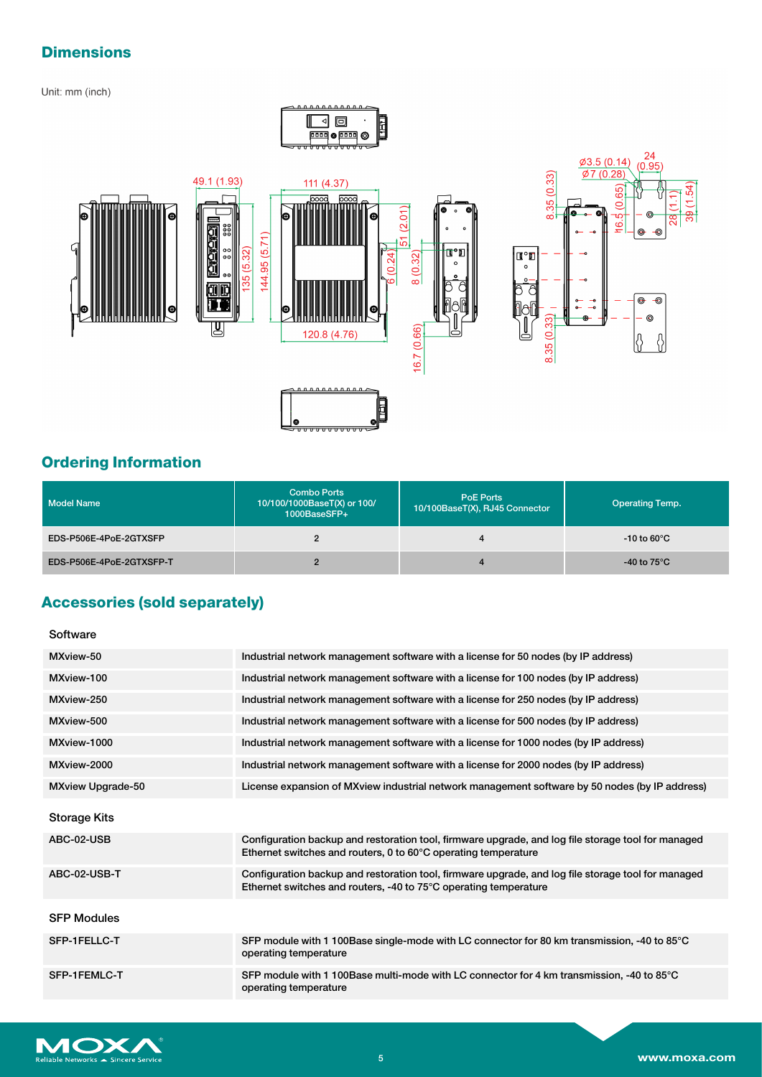# **Dimensions**

## Unit: mm (inch)





# **Ordering Information**

| <b>Model Name</b>        | <b>Combo Ports</b><br>10/100/1000BaseT(X) or 100/<br>1000BaseSFP+ | <b>PoE Ports</b><br>10/100BaseT(X), RJ45 Connector | <b>Operating Temp.</b> |
|--------------------------|-------------------------------------------------------------------|----------------------------------------------------|------------------------|
| EDS-P506E-4PoE-2GTXSFP   | 2                                                                 | 4                                                  | -10 to 60 $^{\circ}$ C |
| EDS-P506E-4PoE-2GTXSFP-T | C                                                                 | 4                                                  | -40 to 75 $^{\circ}$ C |

## **Accessories (sold separately)**

#### Software

| MXview-50                | Industrial network management software with a license for 50 nodes (by IP address)                                                                                     |
|--------------------------|------------------------------------------------------------------------------------------------------------------------------------------------------------------------|
| MXview-100               | Industrial network management software with a license for 100 nodes (by IP address)                                                                                    |
| MXview-250               | Industrial network management software with a license for 250 nodes (by IP address)                                                                                    |
| MXview-500               | Industrial network management software with a license for 500 nodes (by IP address)                                                                                    |
| MXview-1000              | Industrial network management software with a license for 1000 nodes (by IP address)                                                                                   |
| MXview-2000              | Industrial network management software with a license for 2000 nodes (by IP address)                                                                                   |
| <b>MXview Upgrade-50</b> | License expansion of MXview industrial network management software by 50 nodes (by IP address)                                                                         |
| <b>Storage Kits</b>      |                                                                                                                                                                        |
| ABC-02-USB               | Configuration backup and restoration tool, firmware upgrade, and log file storage tool for managed<br>Ethernet switches and routers, 0 to 60°C operating temperature   |
| ABC-02-USB-T             | Configuration backup and restoration tool, firmware upgrade, and log file storage tool for managed<br>Ethernet switches and routers, -40 to 75°C operating temperature |
| <b>SFP Modules</b>       |                                                                                                                                                                        |
| SFP-1FELLC-T             | SFP module with 1 100Base single-mode with LC connector for 80 km transmission, -40 to 85°C<br>operating temperature                                                   |
| SFP-1FEMLC-T             | SFP module with 1 100Base multi-mode with LC connector for 4 km transmission, -40 to 85°C<br>operating temperature                                                     |



 $(1.54)$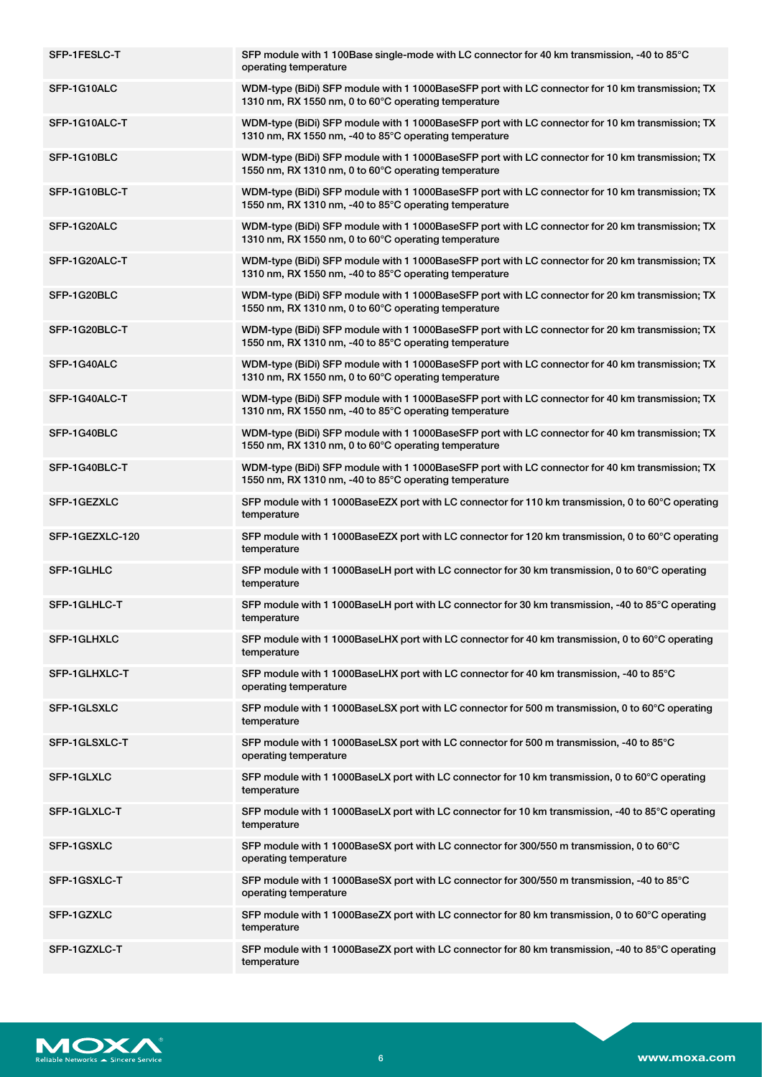| SFP-1FESLC-T    | SFP module with 1 100Base single-mode with LC connector for 40 km transmission, -40 to 85°C<br>operating temperature                                      |
|-----------------|-----------------------------------------------------------------------------------------------------------------------------------------------------------|
| SFP-1G10ALC     | WDM-type (BiDi) SFP module with 1 1000BaseSFP port with LC connector for 10 km transmission; TX<br>1310 nm, RX 1550 nm, 0 to 60°C operating temperature   |
| SFP-1G10ALC-T   | WDM-type (BiDi) SFP module with 1 1000BaseSFP port with LC connector for 10 km transmission; TX<br>1310 nm, RX 1550 nm, -40 to 85°C operating temperature |
| SFP-1G10BLC     | WDM-type (BiDi) SFP module with 1 1000BaseSFP port with LC connector for 10 km transmission; TX<br>1550 nm, RX 1310 nm, 0 to 60°C operating temperature   |
| SFP-1G10BLC-T   | WDM-type (BiDi) SFP module with 1 1000BaseSFP port with LC connector for 10 km transmission; TX<br>1550 nm, RX 1310 nm, -40 to 85°C operating temperature |
| SFP-1G20ALC     | WDM-type (BiDi) SFP module with 1 1000BaseSFP port with LC connector for 20 km transmission; TX<br>1310 nm, RX 1550 nm, 0 to 60°C operating temperature   |
| SFP-1G20ALC-T   | WDM-type (BiDi) SFP module with 1 1000BaseSFP port with LC connector for 20 km transmission; TX<br>1310 nm, RX 1550 nm, -40 to 85°C operating temperature |
| SFP-1G20BLC     | WDM-type (BiDi) SFP module with 1 1000BaseSFP port with LC connector for 20 km transmission; TX<br>1550 nm, RX 1310 nm, 0 to 60°C operating temperature   |
| SFP-1G20BLC-T   | WDM-type (BiDi) SFP module with 1 1000BaseSFP port with LC connector for 20 km transmission; TX<br>1550 nm, RX 1310 nm, -40 to 85°C operating temperature |
| SFP-1G40ALC     | WDM-type (BiDi) SFP module with 1 1000BaseSFP port with LC connector for 40 km transmission; TX<br>1310 nm, RX 1550 nm, 0 to 60°C operating temperature   |
| SFP-1G40ALC-T   | WDM-type (BiDi) SFP module with 1 1000BaseSFP port with LC connector for 40 km transmission; TX<br>1310 nm, RX 1550 nm, -40 to 85°C operating temperature |
| SFP-1G40BLC     | WDM-type (BiDi) SFP module with 1 1000BaseSFP port with LC connector for 40 km transmission; TX<br>1550 nm, RX 1310 nm, 0 to 60°C operating temperature   |
| SFP-1G40BLC-T   | WDM-type (BiDi) SFP module with 1 1000BaseSFP port with LC connector for 40 km transmission; TX<br>1550 nm, RX 1310 nm, -40 to 85°C operating temperature |
| SFP-1GEZXLC     | SFP module with 1 1000BaseEZX port with LC connector for 110 km transmission, 0 to 60°C operating<br>temperature                                          |
| SFP-1GEZXLC-120 | SFP module with 1 1000BaseEZX port with LC connector for 120 km transmission, 0 to 60°C operating<br>temperature                                          |
| SFP-1GLHLC      | SFP module with 1 1000BaseLH port with LC connector for 30 km transmission, 0 to 60°C operating<br>temperature                                            |
| SFP-1GLHLC-T    | SFP module with 1 1000BaseLH port with LC connector for 30 km transmission, -40 to 85°C operating<br>temperature                                          |
| SFP-1GLHXLC     | SFP module with 1 1000BaseLHX port with LC connector for 40 km transmission, 0 to 60°C operating<br>temperature                                           |
| SFP-1GLHXLC-T   | SFP module with 1 1000BaseLHX port with LC connector for 40 km transmission, -40 to 85°C<br>operating temperature                                         |
| SFP-1GLSXLC     | SFP module with 1 1000BaseLSX port with LC connector for 500 m transmission, 0 to 60°C operating<br>temperature                                           |
| SFP-1GLSXLC-T   | SFP module with 1 1000BaseLSX port with LC connector for 500 m transmission, -40 to 85°C<br>operating temperature                                         |
| SFP-1GLXLC      | SFP module with 1 1000BaseLX port with LC connector for 10 km transmission, 0 to 60°C operating<br>temperature                                            |
| SFP-1GLXLC-T    | SFP module with 1 1000BaseLX port with LC connector for 10 km transmission, -40 to 85°C operating<br>temperature                                          |
| SFP-1GSXLC      | SFP module with 1 1000BaseSX port with LC connector for 300/550 m transmission, 0 to 60°C<br>operating temperature                                        |
| SFP-1GSXLC-T    | SFP module with 1 1000BaseSX port with LC connector for 300/550 m transmission, -40 to 85°C<br>operating temperature                                      |
| SFP-1GZXLC      | SFP module with 1 1000BaseZX port with LC connector for 80 km transmission, 0 to 60°C operating<br>temperature                                            |
| SFP-1GZXLC-T    | SFP module with 1 1000BaseZX port with LC connector for 80 km transmission, -40 to 85°C operating<br>temperature                                          |